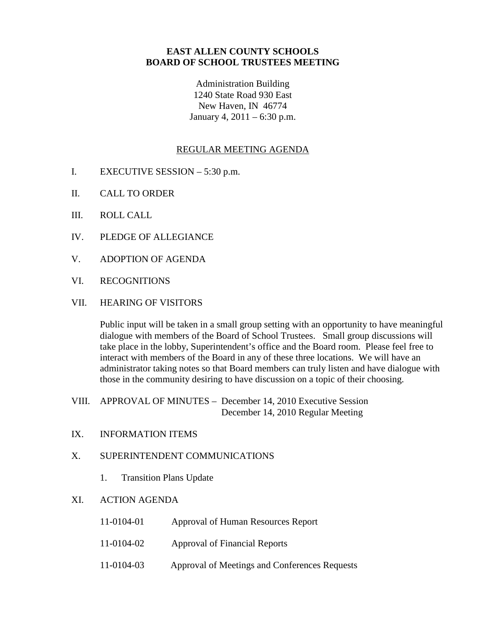## **EAST ALLEN COUNTY SCHOOLS BOARD OF SCHOOL TRUSTEES MEETING**

Administration Building 1240 State Road 930 East New Haven, IN 46774 January 4, 2011 – 6:30 p.m.

## REGULAR MEETING AGENDA

- I. EXECUTIVE SESSION 5:30 p.m.
- II. CALL TO ORDER
- III. ROLL CALL
- IV. PLEDGE OF ALLEGIANCE
- V. ADOPTION OF AGENDA
- VI. RECOGNITIONS
- VII. HEARING OF VISITORS

Public input will be taken in a small group setting with an opportunity to have meaningful dialogue with members of the Board of School Trustees. Small group discussions will take place in the lobby, Superintendent's office and the Board room. Please feel free to interact with members of the Board in any of these three locations. We will have an administrator taking notes so that Board members can truly listen and have dialogue with those in the community desiring to have discussion on a topic of their choosing.

- VIII. APPROVAL OF MINUTES December 14, 2010 Executive Session December 14, 2010 Regular Meeting
- IX. INFORMATION ITEMS

## X. SUPERINTENDENT COMMUNICATIONS

1. Transition Plans Update

## XI. ACTION AGENDA

| 11-0104-01 | Approval of Human Resources Report            |
|------------|-----------------------------------------------|
| 11-0104-02 | Approval of Financial Reports                 |
| 11-0104-03 | Approval of Meetings and Conferences Requests |